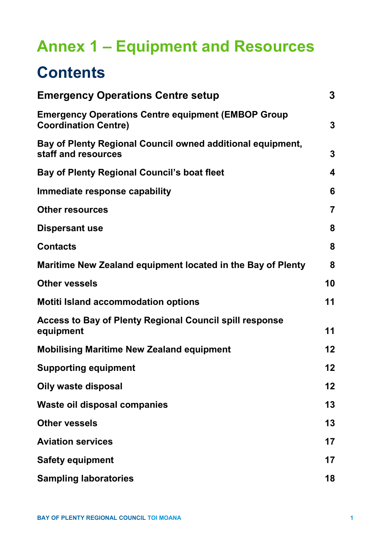# **Annex 1 – Equipment and Resources**

# **Contents**

| <b>Emergency Operations Centre setup</b>                                                 | $\mathbf{3}$   |
|------------------------------------------------------------------------------------------|----------------|
| <b>Emergency Operations Centre equipment (EMBOP Group</b><br><b>Coordination Centre)</b> | 3              |
| Bay of Plenty Regional Council owned additional equipment,<br>staff and resources        | 3              |
| Bay of Plenty Regional Council's boat fleet                                              | 4              |
| Immediate response capability                                                            | 6              |
| <b>Other resources</b>                                                                   | $\overline{7}$ |
| <b>Dispersant use</b>                                                                    | 8              |
| <b>Contacts</b>                                                                          | 8              |
| Maritime New Zealand equipment located in the Bay of Plenty                              | 8              |
| <b>Other vessels</b>                                                                     | 10             |
| <b>Motiti Island accommodation options</b>                                               | 11             |
| <b>Access to Bay of Plenty Regional Council spill response</b><br>equipment              | 11             |
| <b>Mobilising Maritime New Zealand equipment</b>                                         | 12             |
| <b>Supporting equipment</b>                                                              | 12             |
| <b>Oily waste disposal</b>                                                               | 12             |
| <b>Waste oil disposal companies</b>                                                      | 13             |
| <b>Other vessels</b>                                                                     | 13             |
| <b>Aviation services</b>                                                                 | 17             |
| <b>Safety equipment</b>                                                                  | 17             |
| <b>Sampling laboratories</b>                                                             | 18             |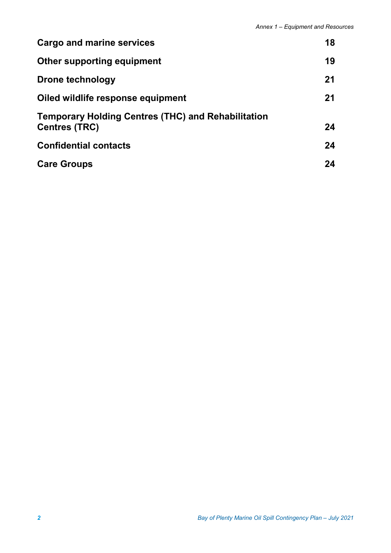| Cargo and marine services                                                         | 18 |
|-----------------------------------------------------------------------------------|----|
| Other supporting equipment                                                        | 19 |
| Drone technology                                                                  | 21 |
| Oiled wildlife response equipment                                                 | 21 |
| <b>Temporary Holding Centres (THC) and Rehabilitation</b><br><b>Centres (TRC)</b> | 24 |
| <b>Confidential contacts</b>                                                      | 24 |
| <b>Care Groups</b>                                                                | 24 |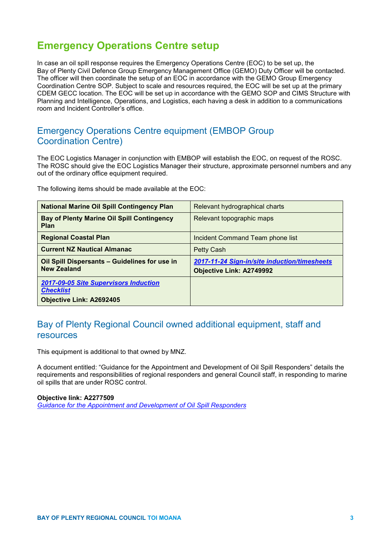# **Emergency Operations Centre setup**

In case an oil spill response requires the Emergency Operations Centre (EOC) to be set up, the Bay of Plenty Civil Defence Group Emergency Management Office (GEMO) Duty Officer will be contacted. The officer will then coordinate the setup of an EOC in accordance with the GEMO Group Emergency Coordination Centre SOP. Subject to scale and resources required, the EOC will be set up at the primary CDEM GECC location. The EOC will be set up in accordance with the GEMO SOP and CIMS Structure with Planning and Intelligence, Operations, and Logistics, each having a desk in addition to a communications room and Incident Controller's office.

## Emergency Operations Centre equipment (EMBOP Group Coordination Centre)

The EOC Logistics Manager in conjunction with EMBOP will establish the EOC, on request of the ROSC. The ROSC should give the EOC Logistics Manager their structure, approximate personnel numbers and any out of the ordinary office equipment required.

The following items should be made available at the EOC:

| <b>National Marine Oil Spill Contingency Plan</b>                   | Relevant hydrographical charts               |  |
|---------------------------------------------------------------------|----------------------------------------------|--|
| <b>Bay of Plenty Marine Oil Spill Contingency</b><br><b>Plan</b>    | Relevant topographic maps                    |  |
| <b>Regional Coastal Plan</b>                                        | Incident Command Team phone list             |  |
| <b>Current NZ Nautical Almanac</b>                                  | Petty Cash                                   |  |
| Oil Spill Dispersants - Guidelines for use in<br><b>New Zealand</b> | 2017-11-24 Sign-in/site induction/timesheets |  |
|                                                                     | <b>Objective Link: A2749992</b>              |  |
| <b>2017-09-05 Site Supervisors Induction</b>                        |                                              |  |
| <b>Checklist</b>                                                    |                                              |  |
| <b>Objective Link: A2692405</b>                                     |                                              |  |

## Bay of Plenty Regional Council owned additional equipment, staff and resources

This equipment is additional to that owned by MNZ.

A document entitled: "Guidance for the Appointment and Development of Oil Spill Responders" details the requirements and responsibilities of regional responders and general Council staff, in responding to marine oil spills that are under ROSC control.

#### **Objective link: A2277509**

*[Guidance for the Appointment and Development of Oil Spill Responders](https://objective.envbop.net/id:A2277509)*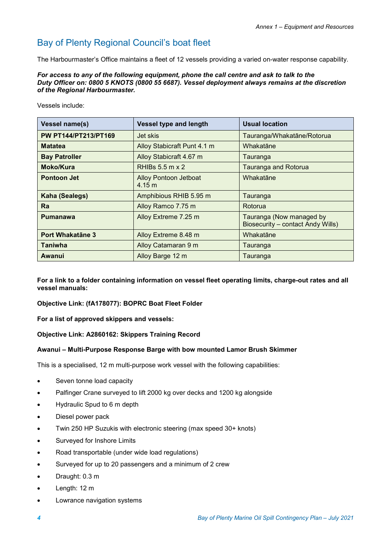# Bay of Plenty Regional Council's boat fleet

The Harbourmaster's Office maintains a fleet of 12 vessels providing a varied on-water response capability.

#### *For access to any of the following equipment, phone the call centre and ask to talk to the Duty Officer on: 0800 5 KNOTS (0800 55 6687). Vessel deployment always remains at the discretion of the Regional Harbourmaster.*

Vessels include:

| <b>Vessel name(s)</b>       | <b>Vessel type and length</b>          | <b>Usual location</b>                                         |  |
|-----------------------------|----------------------------------------|---------------------------------------------------------------|--|
| <b>PW PT144/PT213/PT169</b> | Jet skis                               | Tauranga/Whakatāne/Rotorua                                    |  |
| <b>Matatea</b>              | Alloy Stabicraft Punt 4.1 m            | Whakatāne                                                     |  |
| <b>Bay Patroller</b>        | Alloy Stabicraft 4.67 m                | Tauranga                                                      |  |
| Moko/Kura                   | RHIBs $5.5$ m $\times$ 2               | <b>Tauranga and Rotorua</b>                                   |  |
| <b>Pontoon Jet</b>          | <b>Alloy Pontoon Jetboat</b><br>4.15 m | Whakatāne                                                     |  |
| Kaha (Sealegs)              | Amphibious RHIB 5.95 m                 | Tauranga                                                      |  |
| Ra                          | Alloy Ramco 7.75 m                     | Rotorua                                                       |  |
| <b>Pumanawa</b>             | Alloy Extreme 7.25 m                   | Tauranga (Now managed by<br>Biosecurity - contact Andy Wills) |  |
| <b>Port Whakatāne 3</b>     | Alloy Extreme 8.48 m                   | Whakatāne                                                     |  |
| <b>Taniwha</b>              | Alloy Catamaran 9 m                    | Tauranga                                                      |  |
| Awanui                      | Alloy Barge 12 m                       | Tauranga                                                      |  |

**For a link to a folder containing information on vessel fleet operating limits, charge-out rates and all vessel manuals:**

**Objective Link: (fA178077): BOPRC Boat Fleet Folder**

**For a list of approved skippers and vessels:**

#### **Objective Link: A2860162: Skippers Training Record**

#### **Awanui – Multi-Purpose Response Barge with bow mounted Lamor Brush Skimmer**

This is a specialised, 12 m multi-purpose work vessel with the following capabilities:

- Seven tonne load capacity
- Palfinger Crane surveyed to lift 2000 kg over decks and 1200 kg alongside
- Hydraulic Spud to 6 m depth
- Diesel power pack
- Twin 250 HP Suzukis with electronic steering (max speed 30+ knots)
- Surveyed for Inshore Limits
- Road transportable (under wide load regulations)
- Surveyed for up to 20 passengers and a minimum of 2 crew
- Draught: 0.3 m
- Length: 12 m
- Lowrance navigation systems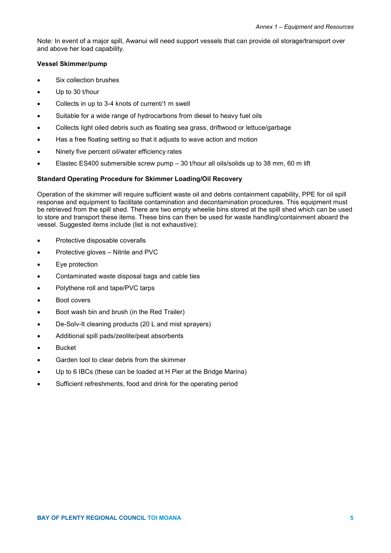Note: In event of a major spill, Awanui will need support vessels that can provide oil storage/transport over and above her load capability.

#### **Vessel Skimmer/pump**

- Six collection brushes
- Up to 30 t/hour
- Collects in up to 3-4 knots of current/1 m swell
- Suitable for a wide range of hydrocarbons from diesel to heavy fuel oils
- Collects light oiled debris such as floating sea grass, driftwood or lettuce/garbage
- Has a free floating setting so that it adjusts to wave action and motion
- Ninety five percent oil/water efficiency rates
- Elastec ES400 submersible screw pump  $-30$  t/hour all oils/solids up to 38 mm, 60 m lift

#### **Standard Operating Procedure for Skimmer Loading/Oil Recovery**

Operation of the skimmer will require sufficient waste oil and debris containment capability, PPE for oil spill response and equipment to facilitate contamination and decontamination procedures. This equipment must be retrieved from the spill shed. There are two empty wheelie bins stored at the spill shed which can be used to store and transport these items. These bins can then be used for waste handling/containment aboard the vessel. Suggested items include (list is not exhaustive):

- Protective disposable coveralls
- Protective gloves Nitrile and PVC
- Eye protection
- Contaminated waste disposal bags and cable ties
- Polythene roll and tape/PVC tarps
- Boot covers
- Boot wash bin and brush (in the Red Trailer)
- De-Solv-It cleaning products (20 L and mist sprayers)
- Additional spill pads/zeolite/peat absorbents
- **Bucket**
- Garden tool to clear debris from the skimmer
- Up to 6 IBCs (these can be loaded at H Pier at the Bridge Marina)
- Sufficient refreshments, food and drink for the operating period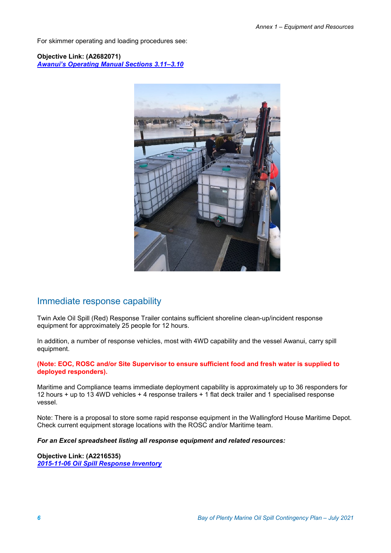For skimmer operating and loading procedures see:

**Objective Link: (A2682071)** *Awanui's Operating Manual Sections 3.11–3.10*



### Immediate response capability

Twin Axle Oil Spill (Red) Response Trailer contains sufficient shoreline clean-up/incident response equipment for approximately 25 people for 12 hours.

In addition, a number of response vehicles, most with 4WD capability and the vessel Awanui, carry spill equipment.

**(Note: EOC, ROSC and/or Site Supervisor to ensure sufficient food and fresh water is supplied to deployed responders).**

Maritime and Compliance teams immediate deployment capability is approximately up to 36 responders for 12 hours + up to 13 4WD vehicles + 4 response trailers + 1 flat deck trailer and 1 specialised response vessel.

Note: There is a proposal to store some rapid response equipment in the Wallingford House Maritime Depot. Check current equipment storage locations with the ROSC and/or Maritime team.

*For an Excel spreadsheet listing all response equipment and related resources:*

**Objective Link: (A2216535)** *[2015-11-06 Oil Spill Response Inventory](https://objective.envbop.net/id:A2216535)*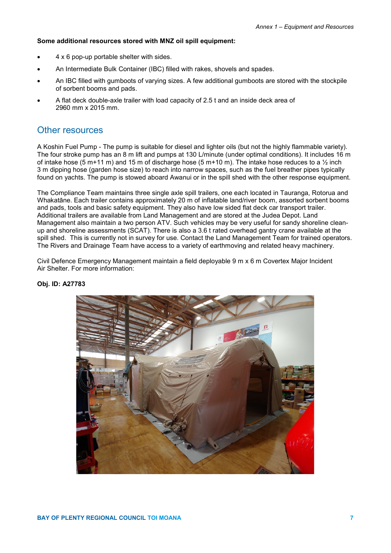#### **Some additional resources stored with MNZ oil spill equipment:**

- 4 x 6 pop-up portable shelter with sides.
- An Intermediate Bulk Container (IBC) filled with rakes, shovels and spades.
- An IBC filled with gumboots of varying sizes. A few additional gumboots are stored with the stockpile of sorbent booms and pads.
- A flat deck double-axle trailer with load capacity of 2.5 t and an inside deck area of 2960 mm x 2015 mm.

#### Other resources

A Koshin Fuel Pump - The pump is suitable for diesel and lighter oils (but not the highly flammable variety). The four stroke pump has an 8 m lift and pumps at 130 L/minute (under optimal conditions). It includes 16 m of intake hose (5 m+11 m) and 15 m of discharge hose (5 m+10 m). The intake hose reduces to a  $\frac{1}{2}$  inch 3 m dipping hose (garden hose size) to reach into narrow spaces, such as the fuel breather pipes typically found on yachts. The pump is stowed aboard Awanui or in the spill shed with the other response equipment.

The Compliance Team maintains three single axle spill trailers, one each located in Tauranga, Rotorua and Whakatāne. Each trailer contains approximately 20 m of inflatable land/river boom, assorted sorbent booms and pads, tools and basic safety equipment. They also have low sided flat deck car transport trailer. Additional trailers are available from Land Management and are stored at the Judea Depot. Land Management also maintain a two person ATV. Such vehicles may be very useful for sandy shoreline cleanup and shoreline assessments (SCAT). There is also a 3.6 t rated overhead gantry crane available at the spill shed. This is currently not in survey for use. Contact the Land Management Team for trained operators. The Rivers and Drainage Team have access to a variety of earthmoving and related heavy machinery.

Civil Defence Emergency Management maintain a field deployable 9 m x 6 m Covertex Major Incident Air Shelter. For more information:



#### **Obj. ID: A27783**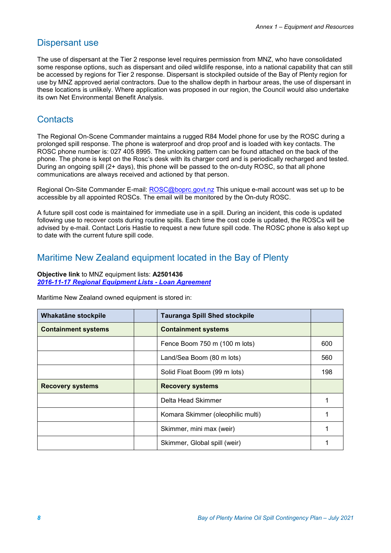## Dispersant use

The use of dispersant at the Tier 2 response level requires permission from MNZ, who have consolidated some response options, such as dispersant and oiled wildlife response, into a national capability that can still be accessed by regions for Tier 2 response. Dispersant is stockpiled outside of the Bay of Plenty region for use by MNZ approved aerial contractors. Due to the shallow depth in harbour areas, the use of dispersant in these locations is unlikely. Where application was proposed in our region, the Council would also undertake its own Net Environmental Benefit Analysis.

## **Contacts**

The Regional On-Scene Commander maintains a rugged R84 Model phone for use by the ROSC during a prolonged spill response. The phone is waterproof and drop proof and is loaded with key contacts. The ROSC phone number is: 027 405 8995. The unlocking pattern can be found attached on the back of the phone. The phone is kept on the Rosc's desk with its charger cord and is periodically recharged and tested. During an ongoing spill (2+ days), this phone will be passed to the on-duty ROSC, so that all phone communications are always received and actioned by that person.

Regional On-Site Commander E-mail: [ROSC@boprc.govt.nz](mailto:ROSC@boprc.govt.nz) This unique e-mail account was set up to be accessible by all appointed ROSCs. The email will be monitored by the On-duty ROSC.

A future spill cost code is maintained for immediate use in a spill. During an incident, this code is updated following use to recover costs during routine spills. Each time the cost code is updated, the ROSCs will be advised by e-mail. Contact Loris Hastie to request a new future spill code. The ROSC phone is also kept up to date with the current future spill code.

## Maritime New Zealand equipment located in the Bay of Plenty

#### **Objective link** to MNZ equipment lists: **A2501436** *[2016-11-17 Regional Equipment Lists -](https://objective.envbop.net/id:A2501438) Loan Agreement*

Maritime New Zealand owned equipment is stored in:

| Whakatāne stockpile        | <b>Tauranga Spill Shed stockpile</b> |     |
|----------------------------|--------------------------------------|-----|
| <b>Containment systems</b> | <b>Containment systems</b>           |     |
|                            | Fence Boom 750 m (100 m lots)        | 600 |
|                            | Land/Sea Boom (80 m lots)            | 560 |
|                            | Solid Float Boom (99 m lots)         | 198 |
| <b>Recovery systems</b>    | <b>Recovery systems</b>              |     |
|                            | Delta Head Skimmer                   |     |
|                            | Komara Skimmer (oleophilic multi)    |     |
|                            | Skimmer, mini max (weir)             |     |
|                            | Skimmer, Global spill (weir)         |     |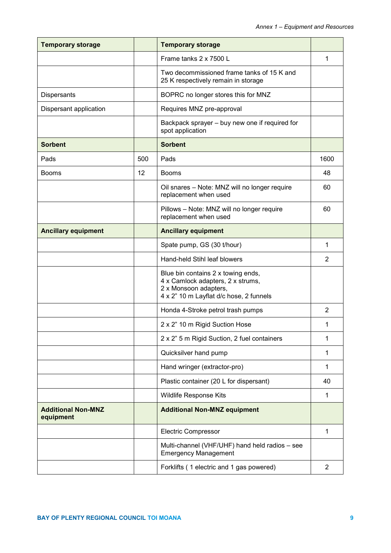| <b>Temporary storage</b>               |     | <b>Temporary storage</b>                                                                                                                    |                |
|----------------------------------------|-----|---------------------------------------------------------------------------------------------------------------------------------------------|----------------|
|                                        |     | Frame tanks 2 x 7500 L                                                                                                                      | 1              |
|                                        |     | Two decommissioned frame tanks of 15 K and<br>25 K respectively remain in storage                                                           |                |
| Dispersants                            |     | BOPRC no longer stores this for MNZ                                                                                                         |                |
| Dispersant application                 |     | Requires MNZ pre-approval                                                                                                                   |                |
|                                        |     | Backpack sprayer - buy new one if required for<br>spot application                                                                          |                |
| <b>Sorbent</b>                         |     | <b>Sorbent</b>                                                                                                                              |                |
| Pads                                   | 500 | Pads                                                                                                                                        | 1600           |
| <b>Booms</b>                           | 12  | <b>Booms</b>                                                                                                                                | 48             |
|                                        |     | Oil snares - Note: MNZ will no longer require<br>replacement when used                                                                      | 60             |
|                                        |     | Pillows - Note: MNZ will no longer require<br>replacement when used                                                                         | 60             |
| <b>Ancillary equipment</b>             |     | <b>Ancillary equipment</b>                                                                                                                  |                |
|                                        |     | Spate pump, GS (30 t/hour)                                                                                                                  | 1              |
|                                        |     | Hand-held Stihl leaf blowers                                                                                                                | $\overline{2}$ |
|                                        |     | Blue bin contains 2 x towing ends,<br>4 x Camlock adapters, 2 x strums,<br>2 x Monsoon adapters,<br>4 x 2" 10 m Layflat d/c hose, 2 funnels |                |
|                                        |     | Honda 4-Stroke petrol trash pumps                                                                                                           | $\overline{2}$ |
|                                        |     | 2 x 2" 10 m Rigid Suction Hose                                                                                                              | 1              |
|                                        |     | 2 x 2" 5 m Rigid Suction, 2 fuel containers                                                                                                 | 1              |
|                                        |     | Quicksilver hand pump                                                                                                                       | 1              |
|                                        |     | Hand wringer (extractor-pro)                                                                                                                | 1              |
|                                        |     | Plastic container (20 L for dispersant)                                                                                                     | 40             |
|                                        |     | Wildlife Response Kits                                                                                                                      |                |
| <b>Additional Non-MNZ</b><br>equipment |     | <b>Additional Non-MNZ equipment</b>                                                                                                         |                |
|                                        |     | <b>Electric Compressor</b>                                                                                                                  | 1              |
|                                        |     | Multi-channel (VHF/UHF) hand held radios - see<br><b>Emergency Management</b>                                                               |                |
|                                        |     | Forklifts (1 electric and 1 gas powered)                                                                                                    | 2              |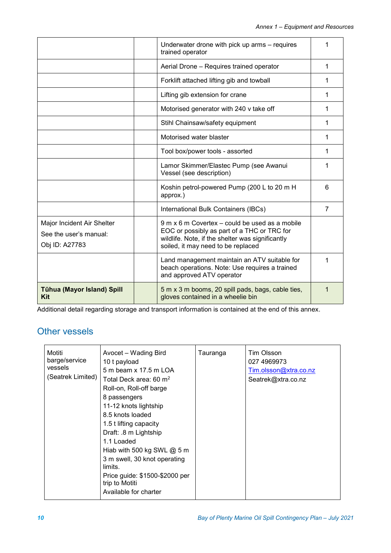|                                                                        | Underwater drone with pick up arms – requires<br>trained operator                                                                                                                       | 1 |
|------------------------------------------------------------------------|-----------------------------------------------------------------------------------------------------------------------------------------------------------------------------------------|---|
|                                                                        | Aerial Drone - Requires trained operator                                                                                                                                                | 1 |
|                                                                        | Forklift attached lifting gib and towball                                                                                                                                               | 1 |
|                                                                        | Lifting gib extension for crane                                                                                                                                                         | 1 |
|                                                                        | Motorised generator with 240 v take off                                                                                                                                                 | 1 |
|                                                                        | Stihl Chainsaw/safety equipment                                                                                                                                                         | 1 |
|                                                                        | Motorised water blaster                                                                                                                                                                 | 1 |
|                                                                        | Tool box/power tools - assorted                                                                                                                                                         | 1 |
|                                                                        | Lamor Skimmer/Elastec Pump (see Awanui<br>Vessel (see description)                                                                                                                      | 1 |
|                                                                        | Koshin petrol-powered Pump (200 L to 20 m H<br>approx.)                                                                                                                                 | 6 |
|                                                                        | International Bulk Containers (IBCs)                                                                                                                                                    | 7 |
| Major Incident Air Shelter<br>See the user's manual:<br>Obj ID: A27783 | 9 m x 6 m Covertex – could be used as a mobile<br>EOC or possibly as part of a THC or TRC for<br>wildlife. Note, if the shelter was significantly<br>soiled, it may need to be replaced |   |
|                                                                        | Land management maintain an ATV suitable for<br>beach operations. Note: Use requires a trained<br>and approved ATV operator                                                             | 1 |
| <b>Tühua (Mayor Island) Spill</b><br><b>Kit</b>                        | 5 m x 3 m booms, 20 spill pads, bags, cable ties,<br>gloves contained in a wheelie bin                                                                                                  | 1 |

Additional detail regarding storage and transport information is contained at the end of this annex.

# Other vessels

| Motiti<br>barge/service<br>vessels<br>(Seatrek Limited) | Avocet – Wading Bird<br>10 t payload<br>5 m beam x 17.5 m LOA<br>Total Deck area: 60 m <sup>2</sup><br>Roll-on, Roll-off barge<br>8 passengers<br>11-12 knots lightship<br>8.5 knots loaded<br>1.5 t lifting capacity<br>Draft: .8 m Lightship<br>1.1 Loaded<br>Hiab with 500 kg SWL $@$ 5 m<br>3 m swell, 30 knot operating<br>limits.<br>Price guide: \$1500-\$2000 per<br>trip to Motiti<br>Available for charter | Tauranga | Tim Olsson<br>027 4969973<br>Tim.olsson@xtra.co.nz<br>Seatrek@xtra.co.nz |
|---------------------------------------------------------|----------------------------------------------------------------------------------------------------------------------------------------------------------------------------------------------------------------------------------------------------------------------------------------------------------------------------------------------------------------------------------------------------------------------|----------|--------------------------------------------------------------------------|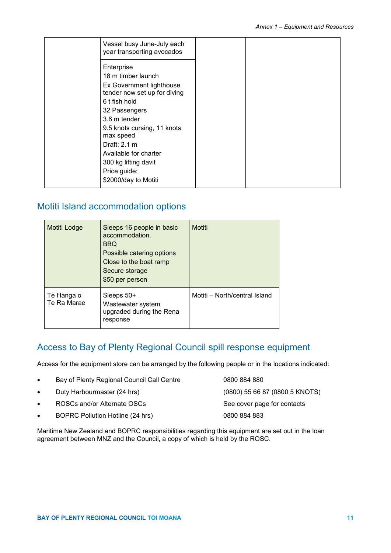## Motiti Island accommodation options

| Motiti Lodge              | Sleeps 16 people in basic<br>accommodation.<br><b>BBQ</b><br>Possible catering options<br>Close to the boat ramp<br>Secure storage<br>\$50 per person | Motiti                        |
|---------------------------|-------------------------------------------------------------------------------------------------------------------------------------------------------|-------------------------------|
| Te Hanga o<br>Te Ra Marae | Sleeps $50+$<br>Wastewater system<br>upgraded during the Rena<br>response                                                                             | Motiti - North/central Island |

## Access to Bay of Plenty Regional Council spill response equipment

Access for the equipment store can be arranged by the following people or in the locations indicated:

- Bay of Plenty Regional Council Call Centre 0800 884 880 • Duty Harbourmaster (24 hrs) (0800) 55 66 87 (0800 5 KNOTS)
- ROSCs and/or Alternate OSCs See cover page for contacts
- BOPRC Pollution Hotline (24 hrs) 0800 884 883
- 

Maritime New Zealand and BOPRC responsibilities regarding this equipment are set out in the loan agreement between MNZ and the Council, a copy of which is held by the ROSC.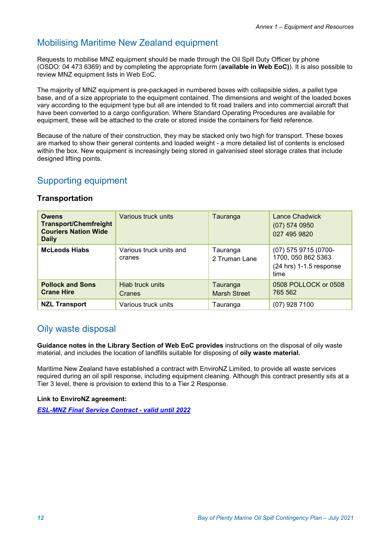## Mobilising Maritime New Zealand equipment

Requests to mobilise MNZ equipment should be made through the Oil Spill Duty Officer by phone (OSDO: 04 473 6369) and by completing the appropriate form (**available in Web EoC)**). It is also possible to review MNZ equipment lists in Web EoC.

The majority of MNZ equipment is pre-packaged in numbered boxes with collapsible sides, a pallet type base, and of a size appropriate to the equipment contained. The dimensions and weight of the loaded boxes vary according to the equipment type but all are intended to fit road trailers and into commercial aircraft that have been converted to a cargo configuration. Where Standard Operating Procedures are available for equipment, these will be attached to the crate or stored inside the containers for field reference.

Because of the nature of their construction, they may be stacked only two high for transport. These boxes are marked to show their general contents and loaded weight - a more detailed list of contents is enclosed within the box. New equipment is increasingly being stored in galvanised steel storage crates that include designed lifting points.

## Supporting equipment

#### **Transportation**

| <b>Owens</b><br><b>Transport/Chemfreight</b><br><b>Couriers Nation Wide</b><br><b>Daily</b> | Various truck units               | Tauranga                        | <b>Lance Chadwick</b><br>$(07)$ 574 0950<br>027 495 9820                        |
|---------------------------------------------------------------------------------------------|-----------------------------------|---------------------------------|---------------------------------------------------------------------------------|
| <b>McLeods Hiabs</b>                                                                        | Various truck units and<br>cranes | Tauranga<br>2 Truman Lane       | (07) 575 9715 (0700-<br>1700, 050 862 5363<br>$(24$ hrs) 1-1.5 response<br>time |
| <b>Pollock and Sons</b><br><b>Crane Hire</b>                                                | Hiab truck units<br>Cranes        | Tauranga<br><b>Marsh Street</b> | 0508 POLLOCK or 0508<br>765 562                                                 |
| <b>NZL Transport</b>                                                                        | Various truck units               | Tauranga                        | $(07)$ 928 7100                                                                 |

## Oily waste disposal

**Guidance notes in the Library Section of Web EoC provides** instructions on the disposal of oily waste material, and includes the location of landfills suitable for disposing of **oily waste material.**

Maritime New Zealand have established a contract with EnviroNZ Limited, to provide all waste services required during an oil spill response, including equipment cleaning. Although this contract presently sits at a Tier 3 level, there is provision to extend this to a Tier 2 Response.

#### **Link to EnviroNZ agreement:**

*[ESL-MNZ Final Service Contract -](https://objective.envbop.net/id:A2627864) valid until 2022*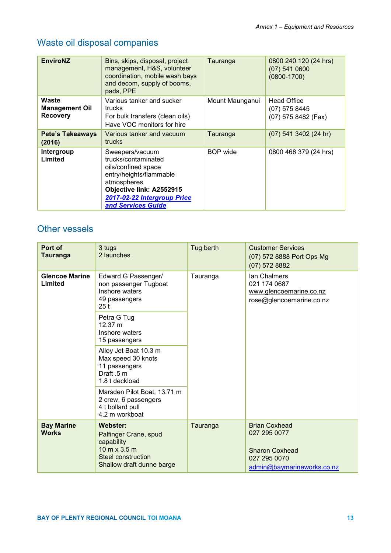# Waste oil disposal companies

| <b>EnviroNZ</b>                                   | Bins, skips, disposal, project<br>management, H&S, volunteer<br>coordination, mobile wash bays<br>and decom, supply of booms,<br>pads, PPE                                               | Tauranga        | 0800 240 120 (24 hrs)<br>$(07)$ 541 0600<br>$(0800 - 1700)$  |
|---------------------------------------------------|------------------------------------------------------------------------------------------------------------------------------------------------------------------------------------------|-----------------|--------------------------------------------------------------|
| Waste<br><b>Management Oil</b><br><b>Recovery</b> | Various tanker and sucker<br>trucks<br>For bulk transfers (clean oils)<br>Have VOC monitors for hire                                                                                     | Mount Maunganui | <b>Head Office</b><br>$(07)$ 575 8445<br>(07) 575 8482 (Fax) |
| Pete's Takeaways<br>(2016)                        | Various tanker and vacuum<br>trucks                                                                                                                                                      | Tauranga        | (07) 541 3402 (24 hr)                                        |
| Intergroup<br>Limited                             | Sweepers/vacuum<br>trucks/contaminated<br>oils/confined space<br>entry/heights/flammable<br>atmospheres<br>Objective link: A2552915<br>2017-02-22 Intergroup Price<br>and Services Guide | <b>BOP</b> wide | 0800 468 379 (24 hrs)                                        |

## Other vessels

| Port of<br><b>Tauranga</b>        | 3 tugs<br>2 launches                                                                                                                      | Tug berth | <b>Customer Services</b><br>(07) 572 8888 Port Ops Mg<br>$(07)$ 572 8882                                    |
|-----------------------------------|-------------------------------------------------------------------------------------------------------------------------------------------|-----------|-------------------------------------------------------------------------------------------------------------|
| <b>Glencoe Marine</b><br>Limited  | Edward G Passenger/<br>non passenger Tugboat<br>Inshore waters<br>49 passengers<br>25 <sub>t</sub>                                        | Tauranga  | lan Chalmers<br>021 174 0687<br>www.glencoemarine.co.nz<br>rose@glencoemarine.co.nz                         |
|                                   | Petra G Tug<br>12.37 m<br>Inshore waters<br>15 passengers                                                                                 |           |                                                                                                             |
|                                   | Alloy Jet Boat 10.3 m<br>Max speed 30 knots<br>11 passengers<br>Draft .5 m<br>1.8 t deckload                                              |           |                                                                                                             |
|                                   | Marsden Pilot Boat, 13.71 m<br>2 crew, 6 passengers<br>4 t bollard pull<br>4.2 m workboat                                                 |           |                                                                                                             |
| <b>Bay Marine</b><br><b>Works</b> | Webster:<br>Palfinger Crane, spud<br>capability<br>$10 \text{ m} \times 3.5 \text{ m}$<br>Steel construction<br>Shallow draft dunne barge | Tauranga  | <b>Brian Coxhead</b><br>027 295 0077<br><b>Sharon Coxhead</b><br>027 295 0070<br>admin@baymarineworks.co.nz |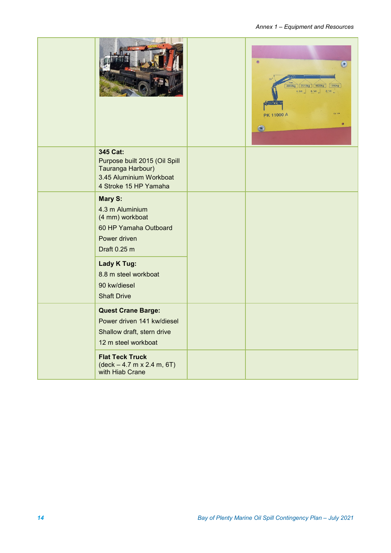*Annex 1 – Equipment and Resources*

|                                                                                                                    | $\odot$<br>3800kg 2510kg 1630kg 1200kg<br>4.1m 6.1m $\frac{1}{2}$<br>8.1m<br><b>PK 11000 A</b><br>$\bullet$<br><b>C</b> |
|--------------------------------------------------------------------------------------------------------------------|-------------------------------------------------------------------------------------------------------------------------|
| 345 Cat:<br>Purpose built 2015 (Oil Spill<br>Tauranga Harbour)<br>3.45 Aluminium Workboat<br>4 Stroke 15 HP Yamaha |                                                                                                                         |
| Mary S:<br>4.3 m Aluminium<br>(4 mm) workboat<br>60 HP Yamaha Outboard<br>Power driven<br>Draft 0.25 m             |                                                                                                                         |
| Lady K Tug:<br>8.8 m steel workboat<br>90 kw/diesel<br><b>Shaft Drive</b>                                          |                                                                                                                         |
| <b>Quest Crane Barge:</b><br>Power driven 141 kw/diesel<br>Shallow draft, stern drive<br>12 m steel workboat       |                                                                                                                         |
| <b>Flat Teck Truck</b><br>$(\text{deck} - 4.7 \text{ m} \times 2.4 \text{ m}, 6T)$<br>with Hiab Crane              |                                                                                                                         |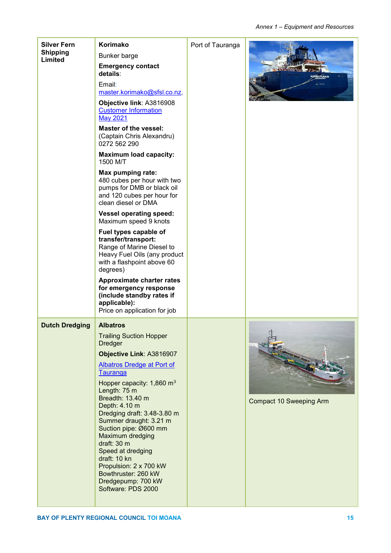| <b>Silver Fern</b><br><b>Shipping</b><br>Limited | Korimako<br>Bunker barge<br><b>Emergency contact</b><br>details:<br>Email:<br>master.korimako@sfsl.co.nz,<br>Objective link: A3816908<br><b>Customer Information</b><br><b>May 2021</b><br><b>Master of the vessel:</b><br>(Captain Chris Alexandru)<br>0272 562 290<br><b>Maximum load capacity:</b><br>1500 M/T<br>Max pumping rate:<br>480 cubes per hour with two<br>pumps for DMB or black oil<br>and 120 cubes per hour for<br>clean diesel or DMA<br><b>Vessel operating speed:</b><br>Maximum speed 9 knots<br>Fuel types capable of<br>transfer/transport:<br>Range of Marine Diesel to<br>Heavy Fuel Oils (any product<br>with a flashpoint above 60<br>degrees)<br><b>Approximate charter rates</b><br>for emergency response<br>(include standby rates if<br>applicable):<br>Price on application for job | Port of Tauranga | <b>PRIMAKO</b>                 |
|--------------------------------------------------|-----------------------------------------------------------------------------------------------------------------------------------------------------------------------------------------------------------------------------------------------------------------------------------------------------------------------------------------------------------------------------------------------------------------------------------------------------------------------------------------------------------------------------------------------------------------------------------------------------------------------------------------------------------------------------------------------------------------------------------------------------------------------------------------------------------------------|------------------|--------------------------------|
| <b>Dutch Dredging</b>                            | <b>Albatros</b><br><b>Trailing Suction Hopper</b><br><b>Dredger</b><br>Objective Link: A3816907<br><b>Albatros Dredge at Port of</b><br>Tauranga<br>Hopper capacity: 1,860 m <sup>3</sup><br>Length: 75 m<br>Breadth: 13.40 m<br>Depth: 4.10 m<br>Dredging draft: 3.48-3.80 m<br>Summer draught: 3.21 m<br>Suction pipe: Ø600 mm<br>Maximum dredging<br>draft: 30 m<br>Speed at dredging<br>draft: 10 kn<br>Propulsion: 2 x 700 kW<br>Bowthruster: 260 kW<br>Dredgepump: 700 kW<br>Software: PDS 2000                                                                                                                                                                                                                                                                                                                 |                  | <b>Compact 10 Sweeping Arm</b> |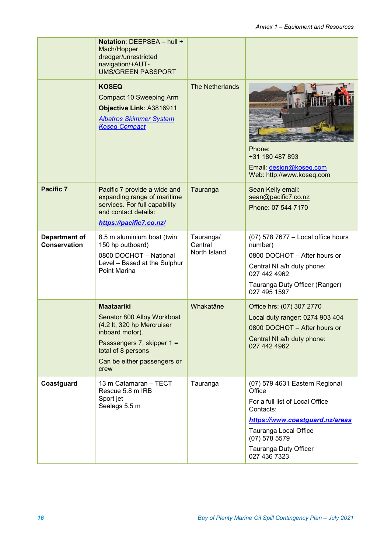|                                      | Notation: DEEPSEA - hull +<br>Mach/Hopper<br>dredger/unrestricted<br>navigation/+AUT-<br><b>UMS/GREEN PASSPORT</b>                                                                          |                                      |                                                                                                                                                                                                                  |
|--------------------------------------|---------------------------------------------------------------------------------------------------------------------------------------------------------------------------------------------|--------------------------------------|------------------------------------------------------------------------------------------------------------------------------------------------------------------------------------------------------------------|
|                                      | <b>KOSEQ</b><br><b>Compact 10 Sweeping Arm</b><br>Objective Link: A3816911<br><b>Albatros Skimmer System</b><br><b>Koseg Compact</b>                                                        | <b>The Netherlands</b>               | Phone:<br>+31 180 487 893<br>Email: design@koseq.com<br>Web: http://www.koseq.com                                                                                                                                |
| <b>Pacific 7</b>                     | Pacific 7 provide a wide and<br>expanding range of maritime<br>services. For full capability<br>and contact details:<br>https://pacific7.co.nz/                                             | Tauranga                             | Sean Kelly email:<br>sean@pacific7.co.nz<br>Phone: 07 544 7170                                                                                                                                                   |
| Department of<br><b>Conservation</b> | 8.5 m aluminium boat (twin<br>150 hp outboard)<br>0800 DOCHOT - National<br>Level - Based at the Sulphur<br>Point Marina                                                                    | Tauranga/<br>Central<br>North Island | (07) 578 7677 - Local office hours<br>number)<br>0800 DOCHOT - After hours or<br>Central NI a/h duty phone:<br>027 442 4962<br>Tauranga Duty Officer (Ranger)<br>027 495 1597                                    |
|                                      | <b>Maataariki</b><br>Senator 800 Alloy Workboat<br>(4.2 lt, 320 hp Mercruiser<br>inboard motor).<br>Passsengers 7, skipper 1 =<br>total of 8 persons<br>Can be either passengers or<br>crew | Whakatāne                            | Office hrs: (07) 307 2770<br>Local duty ranger: 0274 903 404<br>0800 DOCHOT - After hours or<br>Central NI a/h duty phone:<br>027 442 4962                                                                       |
| Coastguard                           | 13 m Catamaran - TECT<br>Rescue 5.8 m IRB<br>Sport jet<br>Sealegs 5.5 m                                                                                                                     | Tauranga                             | (07) 579 4631 Eastern Regional<br>Office<br>For a full list of Local Office<br>Contacts:<br>https://www.coastguard.nz/areas<br>Tauranga Local Office<br>$(07)$ 578 5579<br>Tauranga Duty Officer<br>027 436 7323 |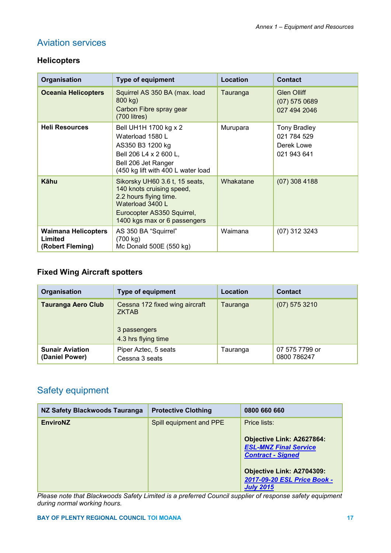# Aviation services

## **Helicopters**

| Organisation                                              | <b>Type of equipment</b>                                                                                                                                                | <b>Location</b> | <b>Contact</b>                                                  |
|-----------------------------------------------------------|-------------------------------------------------------------------------------------------------------------------------------------------------------------------------|-----------------|-----------------------------------------------------------------|
| <b>Oceania Helicopters</b>                                | Squirrel AS 350 BA (max. load<br>800 kg)<br>Carbon Fibre spray gear<br>$(700$ litres)                                                                                   | Tauranga        | <b>Glen Olliff</b><br>$(07)$ 575 0689<br>027 494 2046           |
| <b>Heli Resources</b>                                     | Bell UH1H 1700 kg x 2<br>Waterload 1580 L<br>AS350 B3 1200 kg<br>Bell 206 L4 x 2 600 L,<br>Bell 206 Jet Ranger<br>(450 kg lift with 400 L water load                    | Murupara        | <b>Tony Bradley</b><br>021 784 529<br>Derek Lowe<br>021 943 641 |
| <b>Kähu</b>                                               | Sikorsky UH60 3.6 t, 15 seats,<br>140 knots cruising speed,<br>2.2 hours flying time.<br>Waterload 3400 L<br>Eurocopter AS350 Squirrel,<br>1400 kgs max or 6 passengers | Whakatane       | $(07)$ 308 4188                                                 |
| <b>Waimana Helicopters</b><br>Limited<br>(Robert Fleming) | AS 350 BA "Squirrel"<br>(700 kg)<br>Mc Donald 500E (550 kg)                                                                                                             | Waimana         | (07) 312 3243                                                   |

## **Fixed Wing Aircraft spotters**

| Organisation                             | <b>Type of equipment</b>                                                              | Location | <b>Contact</b>                |
|------------------------------------------|---------------------------------------------------------------------------------------|----------|-------------------------------|
| <b>Tauranga Aero Club</b>                | Cessna 172 fixed wing aircraft<br><b>ZKTAB</b><br>3 passengers<br>4.3 hrs flying time | Tauranga | $(07)$ 575 3210               |
| <b>Sunair Aviation</b><br>(Daniel Power) | Piper Aztec, 5 seats<br>Cessna 3 seats                                                | Tauranga | 07 575 7799 or<br>0800 786247 |

## Safety equipment

| NZ Safety Blackwoods Tauranga | <b>Protective Clothing</b> | 0800 660 660                                                              |
|-------------------------------|----------------------------|---------------------------------------------------------------------------|
| <b>EnviroNZ</b>               | Spill equipment and PPE    | Price lists:<br>Objective Link: A2627864:<br><b>ESL-MNZ Final Service</b> |
|                               |                            | <b>Contract - Signed</b>                                                  |
|                               |                            | Objective Link: A2704309:                                                 |
|                               |                            | 2017-09-20 ESL Price Book -                                               |
|                               |                            | <b>July 2015</b>                                                          |

*Please note that Blackwoods Safety Limited is a preferred Council supplier of response safety equipment during normal working hours.*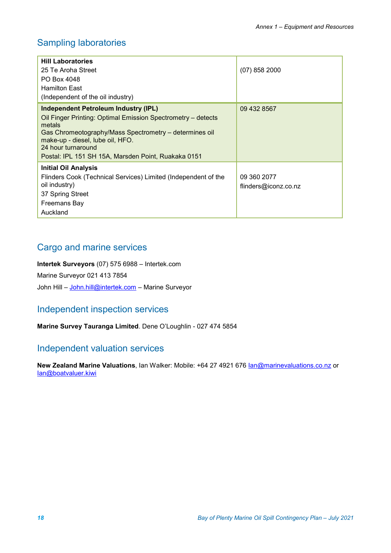## Sampling laboratories

| <b>Hill Laboratories</b><br>25 Te Aroha Street<br>PO Box 4048<br><b>Hamilton East</b><br>(Independent of the oil industry)                                                                                                                                                                       | $(07)$ 858 2000                     |
|--------------------------------------------------------------------------------------------------------------------------------------------------------------------------------------------------------------------------------------------------------------------------------------------------|-------------------------------------|
| <b>Independent Petroleum Industry (IPL)</b><br>Oil Finger Printing: Optimal Emission Spectrometry - detects<br>metals<br>Gas Chromeotography/Mass Spectrometry – determines oil<br>make-up - diesel, lube oil, HFO.<br>24 hour turnaround<br>Postal: IPL 151 SH 15A, Marsden Point, Ruakaka 0151 | 09 432 8567                         |
| <b>Initial Oil Analysis</b><br>Flinders Cook (Technical Services) Limited (Independent of the<br>oil industry)<br>37 Spring Street<br>Freemans Bay<br>Auckland                                                                                                                                   | 09 360 2077<br>flinders@iconz.co.nz |

## Cargo and marine services

**Intertek Surveyors** (07) 575 6988 – Intertek.com

Marine Surveyor 021 413 7854

John Hill – [John.hill@intertek.com](mailto:John.hill@intertek.com) – Marine Surveyor

## Independent inspection services

**Marine Survey Tauranga Limited**. Dene O'Loughlin - 027 474 5854

## Independent valuation services

New Zealand Marine Valuations, Ian Walker: Mobile: +64 27 4921 676 **[Ian@marinevaluations.co.nz](mailto:Ian@marinevaluations.co.nz)** or [Ian@boatvaluer.kiwi](mailto:Ian@boatvaluer.kiwi)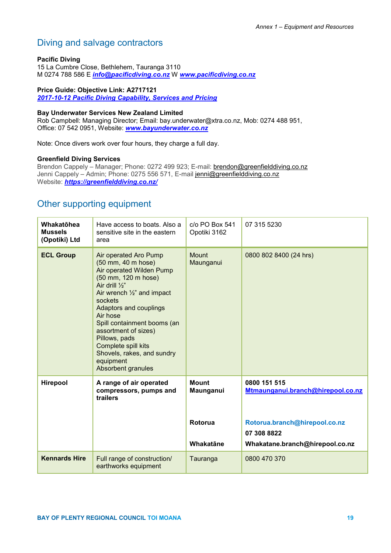## Diving and salvage contractors

#### **Pacific Diving**

15 La Cumbre Close, Bethlehem, Tauranga 3110 M 0274 788 586 E *[info@pacificdiving.co.nz](mailto:info@pacificdiving.co.nz)* W *[www.pacificdiving.co.nz](http://www.pacificdiving.co.nz/)*

#### **Price Guide: Objective Link: A2717121**

*[2017-10-12 Pacific Diving Capability, Services and Pricing](https://objective.envbop.net/id:A2717121)*

#### **Bay Underwater Services New Zealand Limited**

Rob Campbell: Managing Director; Email: bay.underwater@xtra.co.nz, Mob: 0274 488 951, Office: 07 542 0951, Website: *[www.bayunderwater.co.nz](http://www.bayunderwater.co.nz/)*

Note: Once divers work over four hours, they charge a full day.

#### **Greenfield Diving Services**

Brendon Cappely – Manager; Phone: 0272 499 923; E-mail: [brendon@greenfielddiving.co.nz](mailto:brendon@greenfielddiving.co.nz) Jenni Cappely – Admin; Phone: 0275 556 571, E-mail [jenni@greenfielddiving.co.nz](mailto:jenni@greenfielddiving.co.nz) Website: *<https://greenfielddiving.co.nz/>*

## Other supporting equipment

| Whakatōhea<br><b>Mussels</b><br>(Opotiki) Ltd | Have access to boats. Also a<br>sensitive site in the eastern<br>area                                                                                                                                                                                                                                                                                                                 | c/o PO Box 541<br>Opotiki 3162       | 07 315 5230                                                                                       |
|-----------------------------------------------|---------------------------------------------------------------------------------------------------------------------------------------------------------------------------------------------------------------------------------------------------------------------------------------------------------------------------------------------------------------------------------------|--------------------------------------|---------------------------------------------------------------------------------------------------|
| <b>ECL Group</b>                              | Air operated Aro Pump<br>(50 mm, 40 m hose)<br>Air operated Wilden Pump<br>(50 mm, 120 m hose)<br>Air drill $\frac{1}{2}$ "<br>Air wrench $\frac{1}{2}$ " and impact<br>sockets<br>Adaptors and couplings<br>Air hose<br>Spill containment booms (an<br>assortment of sizes)<br>Pillows, pads<br>Complete spill kits<br>Shovels, rakes, and sundry<br>equipment<br>Absorbent granules | Mount<br>Maunganui                   | 0800 802 8400 (24 hrs)                                                                            |
| Hirepool                                      | A range of air operated<br>compressors, pumps and<br>trailers                                                                                                                                                                                                                                                                                                                         | <b>Mount</b><br>Maunganui<br>Rotorua | 0800 151 515<br>Mtmaunganui.branch@hirepool.co.nz<br>Rotorua.branch@hirepool.co.nz<br>07 308 8822 |
|                                               |                                                                                                                                                                                                                                                                                                                                                                                       | Whakatāne                            | Whakatane.branch@hirepool.co.nz                                                                   |
| <b>Kennards Hire</b>                          | Full range of construction/<br>earthworks equipment                                                                                                                                                                                                                                                                                                                                   | Tauranga                             | 0800 470 370                                                                                      |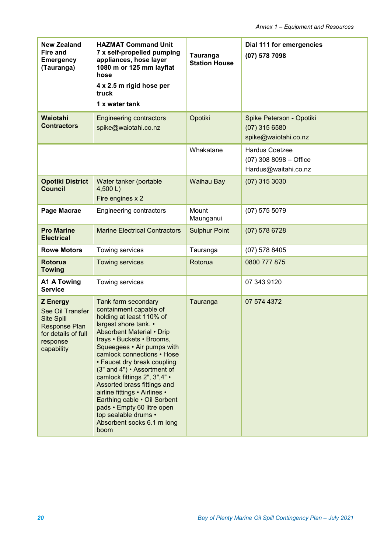| <b>New Zealand</b><br>Fire and<br><b>Emergency</b><br>(Tauranga)                                                                  | <b>HAZMAT Command Unit</b><br>7 x self-propelled pumping<br>appliances, hose layer<br>1080 m or 125 mm layflat<br>hose<br>4 x 2.5 m rigid hose per<br>truck<br>1 x water tank                                                                                                                                                                                                                                                                                                                                             | Tauranga<br><b>Station House</b> | Dial 111 for emergencies<br>(07) 578 7098                                 |
|-----------------------------------------------------------------------------------------------------------------------------------|---------------------------------------------------------------------------------------------------------------------------------------------------------------------------------------------------------------------------------------------------------------------------------------------------------------------------------------------------------------------------------------------------------------------------------------------------------------------------------------------------------------------------|----------------------------------|---------------------------------------------------------------------------|
| Waiotahi<br><b>Contractors</b>                                                                                                    | <b>Engineering contractors</b><br>spike@waiotahi.co.nz                                                                                                                                                                                                                                                                                                                                                                                                                                                                    | Opotiki                          | Spike Peterson - Opotiki<br>$(07)$ 315 6580<br>spike@waiotahi.co.nz       |
|                                                                                                                                   |                                                                                                                                                                                                                                                                                                                                                                                                                                                                                                                           | Whakatane                        | <b>Hardus Coetzee</b><br>$(07)$ 308 8098 - Office<br>Hardus@waitahi.co.nz |
| <b>Opotiki District</b><br><b>Council</b>                                                                                         | Water tanker (portable<br>4,500 L<br>Fire engines x 2                                                                                                                                                                                                                                                                                                                                                                                                                                                                     | <b>Waihau Bay</b>                | $(07)$ 315 3030                                                           |
| Page Macrae                                                                                                                       | <b>Engineering contractors</b>                                                                                                                                                                                                                                                                                                                                                                                                                                                                                            | Mount<br>Maunganui               | $(07)$ 575 5079                                                           |
| <b>Pro Marine</b><br><b>Electrical</b>                                                                                            | <b>Marine Electrical Contractors</b>                                                                                                                                                                                                                                                                                                                                                                                                                                                                                      | <b>Sulphur Point</b>             | $(07)$ 578 6728                                                           |
| <b>Rowe Motors</b>                                                                                                                | Towing services                                                                                                                                                                                                                                                                                                                                                                                                                                                                                                           | Tauranga                         | $(07)$ 578 8405                                                           |
| <b>Rotorua</b><br><b>Towing</b>                                                                                                   | <b>Towing services</b>                                                                                                                                                                                                                                                                                                                                                                                                                                                                                                    | Rotorua                          | 0800 777 875                                                              |
| A1 A Towing<br><b>Service</b>                                                                                                     | Towing services                                                                                                                                                                                                                                                                                                                                                                                                                                                                                                           |                                  | 07 343 9120                                                               |
| <b>Z</b> Energy<br>See Oil Transfer<br><b>Site Spill</b><br><b>Response Plan</b><br>for details of full<br>response<br>capability | Tank farm secondary<br>containment capable of<br>holding at least 110% of<br>largest shore tank. •<br><b>Absorbent Material • Drip</b><br>trays • Buckets • Brooms,<br>Squeegees • Air pumps with<br>camlock connections • Hose<br>• Faucet dry break coupling<br>(3" and 4") • Assortment of<br>camlock fittings 2", 3",4" •<br>Assorted brass fittings and<br>airline fittings • Airlines •<br>Earthing cable . Oil Sorbent<br>pads • Empty 60 litre open<br>top sealable drums •<br>Absorbent socks 6.1 m long<br>boom | Tauranga                         | 07 574 4372                                                               |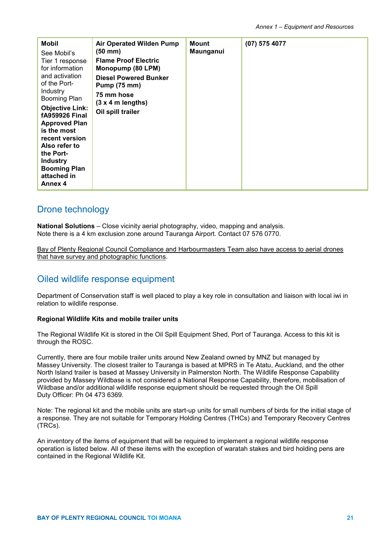| <b>Mobil</b><br>See Mobil's<br>Tier 1 response<br>for information<br>and activation<br>of the Port-<br>Industry<br><b>Booming Plan</b><br><b>Objective Link:</b><br><b>fA959926 Final</b><br><b>Approved Plan</b><br>is the most<br>recent version<br>Also refer to<br>the Port-<br><b>Industry</b><br><b>Booming Plan</b><br>attached in<br>Annex 4 | <b>Air Operated Wilden Pump</b><br>$(50 \text{ mm})$<br><b>Flame Proof Electric</b><br>Monopump (80 LPM)<br><b>Diesel Powered Bunker</b><br><b>Pump (75 mm)</b><br>75 mm hose<br>$(3 x 4 m$ lengths)<br>Oil spill trailer | Mount<br>Maunganui | $(07)$ 575 4077 |
|------------------------------------------------------------------------------------------------------------------------------------------------------------------------------------------------------------------------------------------------------------------------------------------------------------------------------------------------------|---------------------------------------------------------------------------------------------------------------------------------------------------------------------------------------------------------------------------|--------------------|-----------------|
|------------------------------------------------------------------------------------------------------------------------------------------------------------------------------------------------------------------------------------------------------------------------------------------------------------------------------------------------------|---------------------------------------------------------------------------------------------------------------------------------------------------------------------------------------------------------------------------|--------------------|-----------------|

### Drone technology

**National Solutions** – Close vicinity aerial photography, video, mapping and analysis. Note there is a 4 km exclusion zone around Tauranga Airport. Contact 07 576 0770.

Bay of Plenty Regional Council Compliance and Harbourmasters Team also have access to aerial drones that have survey and photographic functions.

## Oiled wildlife response equipment

Department of Conservation staff is well placed to play a key role in consultation and liaison with local iwi in relation to wildlife response.

#### **Regional Wildlife Kits and mobile trailer units**

The Regional Wildlife Kit is stored in the Oil Spill Equipment Shed, Port of Tauranga. Access to this kit is through the ROSC.

Currently, there are four mobile trailer units around New Zealand owned by MNZ but managed by Massey University. The closest trailer to Tauranga is based at MPRS in Te Atatu, Auckland, and the other North Island trailer is based at Massey University in Palmerston North. The Wildlife Response Capability provided by Massey Wildbase is not considered a National Response Capability, therefore, mobilisation of Wildbase and/or additional wildlife response equipment should be requested through the Oil Spill Duty Officer: Ph 04 473 6369.

Note: The regional kit and the mobile units are start-up units for small numbers of birds for the initial stage of a response. They are not suitable for Temporary Holding Centres (THCs) and Temporary Recovery Centres (TRCs).

An inventory of the items of equipment that will be required to implement a regional wildlife response operation is listed below. All of these items with the exception of waratah stakes and bird holding pens are contained in the Regional Wildlife Kit.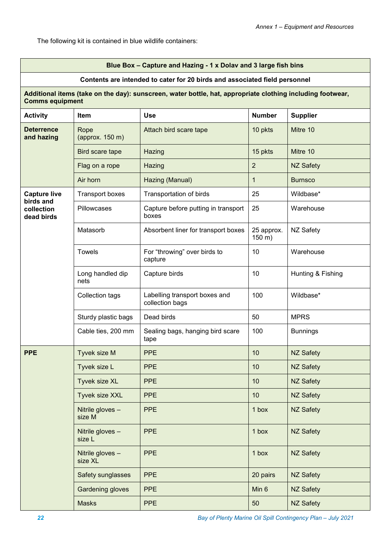The following kit is contained in blue wildlife containers:

#### **Blue Box – Capture and Hazing - 1 x Dolav and 3 large fish bins**

#### **Contents are intended to cater for 20 birds and associated field personnel**

#### **Additional items (take on the day): sunscreen, water bottle, hat, appropriate clothing including footwear, Comms equipment**

| <b>Activity</b>                       | <b>Item</b>                 | <b>Use</b>                                       | <b>Number</b>        | <b>Supplier</b>   |
|---------------------------------------|-----------------------------|--------------------------------------------------|----------------------|-------------------|
| <b>Deterrence</b><br>and hazing       | Rope<br>(approx. 150 m)     | Attach bird scare tape                           | 10 pkts              | Mitre 10          |
|                                       | Bird scare tape             | Hazing                                           | 15 pkts              | Mitre 10          |
|                                       | Flag on a rope              | Hazing                                           | $\overline{2}$       | <b>NZ Safety</b>  |
|                                       | Air horn                    | Hazing (Manual)                                  | 1                    | <b>Burnsco</b>    |
| <b>Capture live</b>                   | <b>Transport boxes</b>      | Transportation of birds                          | 25                   | Wildbase*         |
| birds and<br>collection<br>dead birds | Pillowcases                 | Capture before putting in transport<br>boxes     | 25                   | Warehouse         |
|                                       | Matasorb                    | Absorbent liner for transport boxes              | 25 approx.<br>150 m) | NZ Safety         |
|                                       | <b>Towels</b>               | For "throwing" over birds to<br>capture          | 10                   | Warehouse         |
|                                       | Long handled dip<br>nets    | Capture birds                                    | 10                   | Hunting & Fishing |
|                                       | Collection tags             | Labelling transport boxes and<br>collection bags | 100                  | Wildbase*         |
|                                       | Sturdy plastic bags         | Dead birds                                       | 50                   | <b>MPRS</b>       |
|                                       | Cable ties, 200 mm          | Sealing bags, hanging bird scare<br>tape         | 100                  | <b>Bunnings</b>   |
| <b>PPE</b>                            | Tyvek size M                | <b>PPE</b>                                       | 10                   | <b>NZ Safety</b>  |
|                                       | Tyvek size L                | <b>PPE</b>                                       | 10                   | <b>NZ Safety</b>  |
|                                       | Tyvek size XL               | <b>PPE</b>                                       | 10                   | <b>NZ Safety</b>  |
|                                       | Tyvek size XXL              | <b>PPE</b>                                       | 10                   | <b>NZ Safety</b>  |
|                                       | Nitrile gloves -<br>size M  | <b>PPE</b>                                       | 1 box                | <b>NZ Safety</b>  |
|                                       | Nitrile gloves -<br>size L  | <b>PPE</b>                                       | 1 box                | NZ Safety         |
|                                       | Nitrile gloves -<br>size XL | <b>PPE</b>                                       | 1 box                | <b>NZ Safety</b>  |
|                                       | Safety sunglasses           | <b>PPE</b>                                       | 20 pairs             | NZ Safety         |
|                                       | <b>Gardening gloves</b>     | <b>PPE</b>                                       | Min 6                | NZ Safety         |
|                                       | <b>Masks</b>                | <b>PPE</b>                                       | 50                   | NZ Safety         |

*22 Bay of Plenty Marine Oil Spill Contingency Plan – July 2021*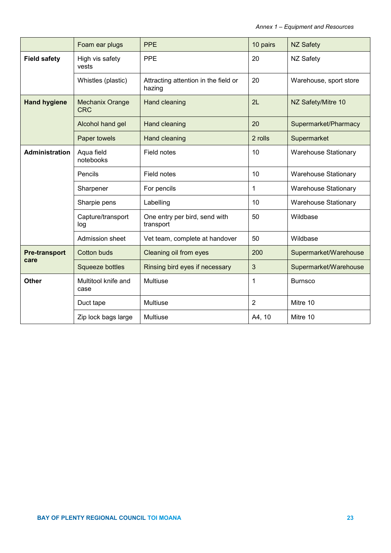|                              | Foam ear plugs                       | <b>PPE</b>                                     | 10 pairs       | <b>NZ Safety</b>            |
|------------------------------|--------------------------------------|------------------------------------------------|----------------|-----------------------------|
| <b>Field safety</b>          | High vis safety<br>vests             | <b>PPE</b>                                     | 20             | <b>NZ Safety</b>            |
|                              | Whistles (plastic)                   | Attracting attention in the field or<br>hazing | 20             | Warehouse, sport store      |
| <b>Hand hygiene</b>          | <b>Mechanix Orange</b><br><b>CRC</b> | Hand cleaning                                  | 2L             | NZ Safety/Mitre 10          |
|                              | Alcohol hand gel                     | Hand cleaning                                  | 20             | Supermarket/Pharmacy        |
|                              | Paper towels                         | <b>Hand cleaning</b>                           | 2 rolls        | Supermarket                 |
| <b>Administration</b>        | Aqua field<br>notebooks              | Field notes                                    | 10             | <b>Warehouse Stationary</b> |
|                              | Pencils                              | Field notes                                    | 10             | <b>Warehouse Stationary</b> |
|                              | Sharpener                            | For pencils                                    | 1              | <b>Warehouse Stationary</b> |
|                              | Sharpie pens                         | Labelling                                      | 10             | <b>Warehouse Stationary</b> |
|                              | Capture/transport<br>log             | One entry per bird, send with<br>transport     | 50             | Wildbase                    |
|                              | Admission sheet                      | Vet team, complete at handover                 | 50             | Wildbase                    |
| <b>Pre-transport</b><br>care | <b>Cotton buds</b>                   | Cleaning oil from eyes                         | 200            | Supermarket/Warehouse       |
|                              | <b>Squeeze bottles</b>               | Rinsing bird eyes if necessary                 | 3              | Supermarket/Warehouse       |
| <b>Other</b>                 | Multitool knife and<br>case          | <b>Multiuse</b>                                | 1              | <b>Burnsco</b>              |
|                              | Duct tape                            | Multiuse                                       | $\overline{2}$ | Mitre 10                    |
|                              | Zip lock bags large                  | <b>Multiuse</b>                                | A4, 10         | Mitre 10                    |